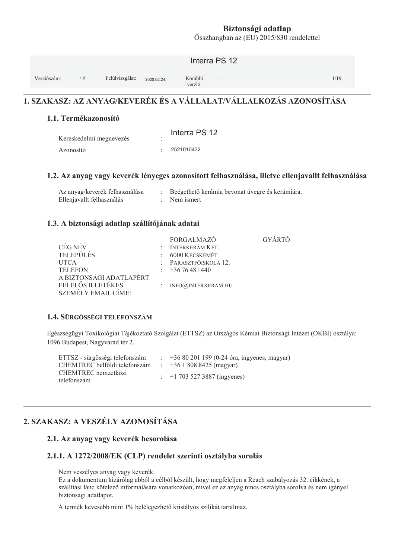Összhangban az (EU) 2015/830 rendelettel

|             |     |                 |             | Interra PS 12                                  |      |
|-------------|-----|-----------------|-------------|------------------------------------------------|------|
| Verziószám: | 1.0 | Felülvizsgálat: | 2020.02.24. | Korábbi<br>$\overline{\phantom{a}}$<br>verzió: | 1/19 |

# 1. SZAKASZ: AZ ANYAG/KEVERÉK ÉS A VÁLLALAT/VÁLLALKOZÁS AZONOSÍTÁSA

#### 1.1. Termékazonosító

| Kereskedelmi megnevezés | Interra PS 12 |
|-------------------------|---------------|
| Azonosító               | 2521010432    |

#### 1.2. Az anyag vagy keverék lényeges azonosított felhasználása, illetve ellenjavallt felhasználása

| Az anyag/keverék felhasználása | Beégethető kerámia bevonat üvegre és kerámiára |
|--------------------------------|------------------------------------------------|
| Ellenjavallt felhasználás      | : Nem ismert                                   |

#### 1.3. A biztonsági adatlap szállítójának adatai

|                            | <b>FORGALMAZO</b>      | <b>GYARTO</b> |
|----------------------------|------------------------|---------------|
| CÉG NÉV                    | $:$ INTERKERÁM KFT.    |               |
| <b>TELEPÜLÉS</b>           | $: 6000$ Kecskemét     |               |
| <b>UTCA</b>                | : PARASZTFŐISKOLA 12.  |               |
| <b>TELEFON</b>             | $\div$ +36 76 481 440  |               |
| A BIZTONSÁGI ADATLAPÉRT    |                        |               |
| FELELŐS ILLETÉKES          | : $INFO@JNIERKERAM.HU$ |               |
| <b>SZEMÉLY EMAIL CÍME:</b> |                        |               |

#### 1.4. SÜRGŐSSÉGI TELEFONSZÁM

Egészségügyi Toxikológiai Tájékoztató Szolgálat (ETTSZ) az Országos Kémiai Biztonsági Intézet (OKBI) osztálya: 1096 Budapest, Nagyvárad tér 2.

| ETTSZ - sürgősségi telefonszám     | $\pm 3680201199(0-24$ óra, ingyenes, magyar) |
|------------------------------------|----------------------------------------------|
| CHEMTREC belföldi telefonszám      | $\div$ +36 1 808 8425 (magyar)               |
| CHEMTREC nemzetközi<br>telefonszám | $\div$ +1 703 527 3887 (ingyenes)            |

# 2. SZAKASZ: A VESZÉLY AZONOSÍTÁSA

#### 2.1. Az anyag vagy keverék besorolása

#### 2.1.1. A 1272/2008/EK (CLP) rendelet szerinti osztályba sorolás

Nem veszélyes anyag vagy keverék.

Ez a dokumentum kizárólag abból a célból készült, hogy megfeleljen a Reach szabályozás 32. cikkének, a szállítási lánc kötelező informálására vonatkozóan, mivel ez az anyag nincs osztályba sorolva és nem igényel biztonsági adatlapot.

A termék kevesebb mint 1% belélegezhető kristályos szilikát tartalmaz.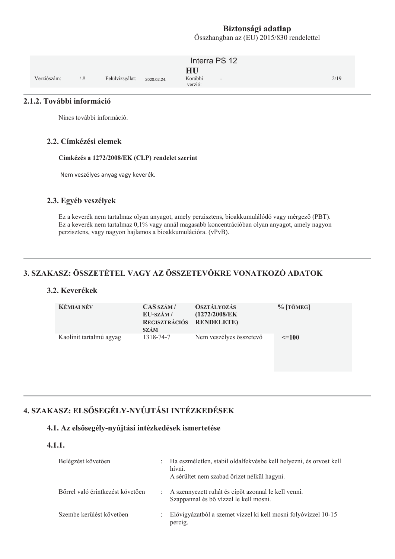Összhangban az (EU) 2015/830 rendelettel

|             |     |                 |             | Interra PS 12                      |      |
|-------------|-----|-----------------|-------------|------------------------------------|------|
| Verziószám: | 1.0 | Felülvizsgálat: | 2020.02.24. | HU<br>Korábbi<br>$\sim$<br>verzió: | 2/19 |

#### 2.1.2. További információ

Nincs további információ.

#### 2.2. Címkézési elemek

Címkézés a 1272/2008/EK (CLP) rendelet szerint

Nem veszélyes anyag vagy keverék.

#### 2.3. Egyéb veszélyek

Ez a keverék nem tartalmaz olyan anyagot, amely perzisztens, bioakkumulálódó vagy mérgező (PBT). Ez a keverék nem tartalmaz 0,1% vagy annál magasabb koncentrációban olyan anyagot, amely nagyon perzisztens, vagy nagyon hajlamos a bioakkumulációra. (vPvB).

# 3. SZAKASZ: ÖSSZETÉTEL VAGY AZ ÖSSZETEVŐKRE VONATKOZÓ ADATOK

#### 3.2. Keverékek

| <b>KÉMIAI NÉV</b>       | CAS SZÁM/<br>EU-SZÁM/<br>REGISZTRÁCIÓS RENDELETE)<br><b>SZÁM</b> | <b>OSZTÁLYOZÁS</b><br>(1272/2008/EK | $%$ [TÖMEG] |
|-------------------------|------------------------------------------------------------------|-------------------------------------|-------------|
| Kaolinit tartalmú agyag | 1318-74-7                                                        | Nem veszélyes összetevő             | $\leq$ =100 |

# 4. SZAKASZ: ELSŐSEGÉLY-NYÚJTÁSI INTÉZKEDÉSEK

#### 4.1. Az elsősegély-nyújtási intézkedések ismertetése

#### $4.1.1.$

| Belégzést követően               | D.           | Ha eszméletlen, stabil oldalfekvésbe kell helyezni, és orvost kell<br>hívni.<br>A sérültet nem szabad őrizet nélkül hagyni. |
|----------------------------------|--------------|-----------------------------------------------------------------------------------------------------------------------------|
| Bőrrel való érintkezést követően |              | : A szennyezett ruhát és cipőt azonnal le kell venni.<br>Szappannal és bő vízzel le kell mosni.                             |
| Szembe kerülést követően         | $\mathbb{R}$ | Elővigyázatból a szemet vízzel ki kell mosni folyóvízzel 10-15<br>percig.                                                   |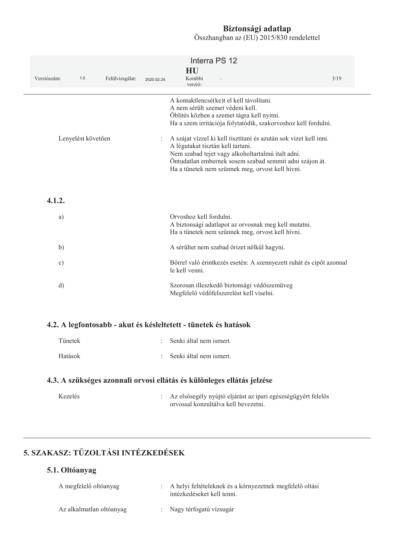| Verziószám:             | 1.0 | Felülvizsgálat:                                                                                                                                                                                                                                                            | 2020.02.24. | Interra PS 12<br>HU<br>Korábbi<br>verzió:                                                                                                                                                    | 3/19 |
|-------------------------|-----|----------------------------------------------------------------------------------------------------------------------------------------------------------------------------------------------------------------------------------------------------------------------------|-------------|----------------------------------------------------------------------------------------------------------------------------------------------------------------------------------------------|------|
|                         |     |                                                                                                                                                                                                                                                                            |             | A kontaktlencsé(ke)t el kell távolítani.<br>A nem sérült szemet védeni kell.<br>Öblítés közben a szemet tágra kell nyitni.<br>Ha a szem irritációja folytatódik, szakorvoshoz kell fordulni. |      |
| Lenyelést követően<br>÷ |     | A szájat vízzel ki kell tisztítani és azután sok vizet kell inni.<br>A légutakat tisztán kell tartani.<br>Nem szabad tejet vagy alkoholtartalmú italt adni.<br>Öntudatlan embernek sosem szabad semmit adni szájon át.<br>Ha a tünetek nem szűnnek meg, orvost kell hívni. |             |                                                                                                                                                                                              |      |
| 4.1.2.                  |     |                                                                                                                                                                                                                                                                            |             |                                                                                                                                                                                              |      |
| a)                      |     |                                                                                                                                                                                                                                                                            |             | Orvoshoz kell fordulni.<br>A biztonsági adatlapot az orvosnak meg kell mutatni.<br>Ha a tünetek nem szűnnek meg, orvost kell hívni.                                                          |      |
| b)                      |     |                                                                                                                                                                                                                                                                            |             | A sérültet nem szabad őrizet nélkül hagyni.                                                                                                                                                  |      |
| $\circ$ )               |     |                                                                                                                                                                                                                                                                            |             | Bőrrel való érintkezés esetén: A szennyezett ruhát és cipőt azonnal<br>le kell venni.                                                                                                        |      |
| d)                      |     |                                                                                                                                                                                                                                                                            |             | Szorosan illeszkedő biztonsági védőszemüveg<br>Megfelelő védőfelszerelést kell viselni.                                                                                                      |      |
|                         |     |                                                                                                                                                                                                                                                                            |             | 4.2. A legfontosabb - akut és késleltetett - tünetek és hatások                                                                                                                              |      |
| Tünetek                 |     |                                                                                                                                                                                                                                                                            |             | Senki által nem ismert.                                                                                                                                                                      |      |
| Hatások                 |     |                                                                                                                                                                                                                                                                            |             | Senki által nem ismert.                                                                                                                                                                      |      |
|                         |     |                                                                                                                                                                                                                                                                            |             | 4.3. A szükséges azonnali orvosi ellátás és különleges ellátás jelzése                                                                                                                       |      |
| Kezelés                 |     |                                                                                                                                                                                                                                                                            |             | Az elsősegély nyújtó eljárást az ipari egészségügyért felelős<br>orvossal konzultálva kell bevezetni.                                                                                        |      |

5. SZAKASZ: TŰZOLTÁSI INTÉZKEDÉSEK

## 5.1. Oltóanyag

| A megfelelő oltóanyag    | : A helyi feltételeknek és a környezetnek megfelelő oltási<br>intézkedéseket kell tenni. |
|--------------------------|------------------------------------------------------------------------------------------|
| Az alkalmatlan oltóanyag | : Nagy térfogatú vízsugár                                                                |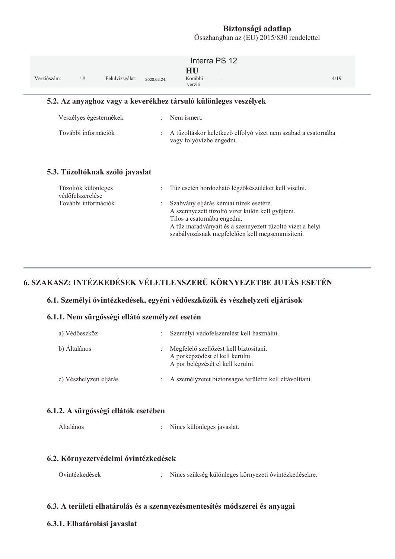Összhangban az (EU) 2015/830 rendelettel

|                                                                 |                                         |                                 |                | Interra PS 12<br>HU                                                                                                                                                                                                                       |      |  |  |
|-----------------------------------------------------------------|-----------------------------------------|---------------------------------|----------------|-------------------------------------------------------------------------------------------------------------------------------------------------------------------------------------------------------------------------------------------|------|--|--|
| Verziószám:                                                     | 1.0                                     | Felülvizsgálat:                 | 2020.02.24.    | Korábbi<br>verzió:                                                                                                                                                                                                                        | 4/19 |  |  |
| 5.2. Az anyaghoz vagy a keverékhez társuló különleges veszélyek |                                         |                                 |                |                                                                                                                                                                                                                                           |      |  |  |
|                                                                 |                                         | Veszélyes égéstermékek          | ÷              | Nem ismert.                                                                                                                                                                                                                               |      |  |  |
|                                                                 | További információk                     |                                 |                | A tűzoltáskor keletkező elfolyó vizet nem szabad a csatornába<br>vagy folyóvízbe engedni.                                                                                                                                                 |      |  |  |
|                                                                 |                                         | 5.3. Tűzoltóknak szóló javaslat |                |                                                                                                                                                                                                                                           |      |  |  |
|                                                                 | Tűzoltók különleges<br>védőfelszerelése |                                 | $\ddot{\cdot}$ | Tűz esetén hordozható légzőkészüléket kell viselni.                                                                                                                                                                                       |      |  |  |
|                                                                 | További információk                     |                                 |                | Szabvány eljárás kémiai tüzek esetére.<br>A szennyezett tűzoltó vizet külön kell gyűjteni.<br>Tilos a csatornába engedni.<br>A tűz maradványait és a szennyezett tűzoltó vizet a helyi<br>szabályozásnak megfelelően kell megsemmisíteni. |      |  |  |

# 6. SZAKASZ: INTÉZKEDÉSEK VÉLETLENSZERŰ KÖRNYEZETBE JUTÁS ESETÉN

#### 6.1. Személyi óvintézkedések, egyéni védőeszközök és vészhelyzeti eljárások

#### 6.1.1. Nem sürgősségi ellátó személyzet esetén

| a) Védőeszköz           |                           | Személyi védőfelszerelést kell használni.                                                                      |
|-------------------------|---------------------------|----------------------------------------------------------------------------------------------------------------|
| b) Általános            | $\mathbb{R}^{\mathbb{Z}}$ | Megfelelő szellőzést kell biztosítani.<br>A porképződést el kell kerülni.<br>A por belégzését el kell kerülni. |
| c) Vészhelyzeti eljárás | $\mathbb{R}^n$            | A személyzetet biztonságos területre kell eltávolítani.                                                        |

#### 6.1.2. A sürgősségi ellátók esetében

Általános : Nincs különleges javaslat.

#### 6.2. Környezetvédelmi óvintézkedések

| Ovintézkedések | Nincs szükség különleges környezeti óvintézkedésekre. |
|----------------|-------------------------------------------------------|
|----------------|-------------------------------------------------------|

#### 6.3. A területi elhatárolás és a szennyezésmentesítés módszerei és anyagai

#### 6.3.1. Elhatárolási javaslat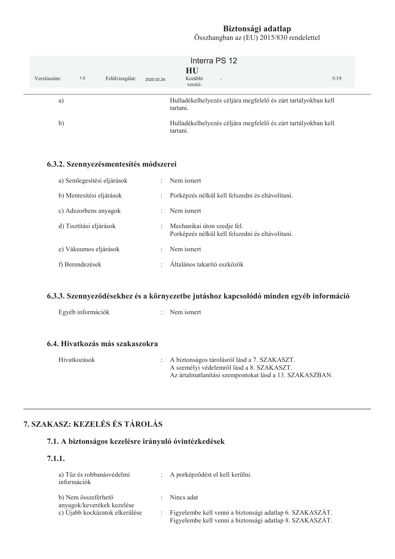| Verziószám:  | 1.0 | Felülvizsgálat:                       | 2020.02.24. | Interra PS 12<br>HU<br>Korábbi<br>$\sim$<br>verzió:                        | 5/19 |
|--------------|-----|---------------------------------------|-------------|----------------------------------------------------------------------------|------|
| a)           |     |                                       |             | Hulladékelhelyezés céljára megfelelő és zárt tartályokban kell<br>tartani. |      |
| $\mathbf{b}$ |     |                                       |             | Hulladékelhelyezés céljára megfelelő és zárt tartályokban kell<br>tartani. |      |
|              |     | 6.3.2. Szennyezésmentesítés módszerei |             |                                                                            |      |

| a) Semlegesítési eljárások | ÷                         | Nem ismert                                                                      |
|----------------------------|---------------------------|---------------------------------------------------------------------------------|
| b) Mentesítési eljárások   | $\mathbb{R}^{\mathbb{Z}}$ | Porképzés nélkül kell felszedni és eltávolítani.                                |
| c) Adszorbens anyagok      | ÷                         | Nem ismert                                                                      |
| d) Tisztítási eljárások    | ÷                         | Mechanikai úton szedje fel.<br>Porképzés nélkül kell felszedni és eltávolítani. |
| e) Vákuumos eljárások      | ÷                         | Nem ismert                                                                      |
| f) Berendezések            |                           | Általános takarító eszközök                                                     |

## 6.3.3. Szennyeződésekhez és a környezetbe jutáshoz kapcsolódó minden egyéb információ

| Egyéb információk               | $\therefore$ Nem ismert |
|---------------------------------|-------------------------|
|                                 |                         |
|                                 |                         |
| 6.4. Hivatkozás más szakaszokra |                         |

| Hivatkozások | : A biztonságos tárolásról lásd a 7. SZAKASZT.          |
|--------------|---------------------------------------------------------|
|              | A személyi védelemről lásd a 8. SZAKASZT.               |
|              | Az ártalmatlanítási szempontokat lásd a 13. SZAKASZBAN. |

# 7. SZAKASZ: KEZELÉS ÉS TÁROLÁS

# 7.1. A biztonságos kezelésre irányuló óvintézkedések

#### $7.1.1.$

| a) Tűz és robbanásvédelmi<br>információk          | : A porképződést el kell kerülni.                                                                                      |
|---------------------------------------------------|------------------------------------------------------------------------------------------------------------------------|
| b) Nem összeférhető<br>anyagok/keverékek kezelése | $:$ Nincs adat                                                                                                         |
| c) Újabb kockázatok elkerülése                    | : Figyelembe kell venni a biztonsági adatlap 6. SZAKASZÁT.<br>Figyelembe kell venni a biztonsági adatlap 8. SZAKASZÁT. |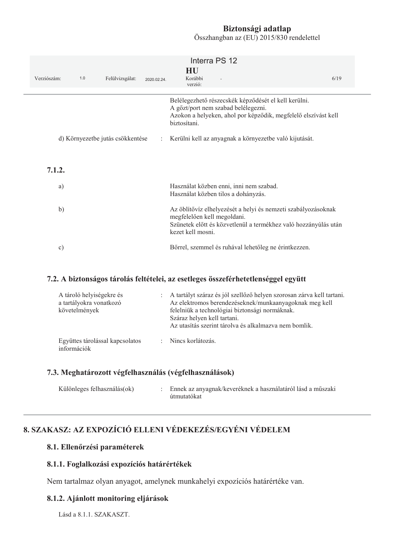Összhangban az (EU) 2015/830 rendelettel

| Verziószám:   | 1.0 | Felülvizsgálat:                  | 2020.02.24.          | Interra PS 12<br>HU<br>Korábbi<br>verzió:                                                                                                                                            | 6/19 |
|---------------|-----|----------------------------------|----------------------|--------------------------------------------------------------------------------------------------------------------------------------------------------------------------------------|------|
|               |     |                                  |                      | Belélegezhető részecskék képződését el kell kerülni.<br>A gőzt/port nem szabad belélegezni.<br>Azokon a helyeken, ahol por képződik, megfelelő elszívást kell<br>biztosítani.        |      |
|               |     | d) Környezetbe jutás csökkentése | $\ddot{\phantom{a}}$ | Kerülni kell az anyagnak a környezetbe való kijutását.                                                                                                                               |      |
| 7.1.2.        |     |                                  |                      |                                                                                                                                                                                      |      |
| a)            |     |                                  |                      | Használat közben enni, inni nem szabad.<br>Használat közben tilos a dohányzás.                                                                                                       |      |
| b)            |     |                                  |                      | Az öblítővíz elhelyezését a helyi és nemzeti szabályozásoknak<br>megfelelően kell megoldani.<br>Szünetek előtt és közvetlenül a termékhez való hozzányúlás után<br>kezet kell mosni. |      |
| $\mathbf{c})$ |     |                                  |                      | Bőrrel, szemmel és ruhával lehetőleg ne érintkezzen.                                                                                                                                 |      |

#### 7.2. A biztonságos tárolás feltételei, az esetleges összeférhetetlenséggel együtt

| A tároló helyiségekre és<br>a tartályokra vonatkozó<br>követelmények | : A tartályt száraz és jól szellőző helyen szorosan zárva kell tartani.<br>Az elektromos berendezéseknek/munkaanyagoknak meg kell<br>felelniük a technológiai biztonsági normáknak.<br>Száraz helyen kell tartani.<br>Az utasítás szerint tárolya és alkalmazya nem bomlik. |
|----------------------------------------------------------------------|-----------------------------------------------------------------------------------------------------------------------------------------------------------------------------------------------------------------------------------------------------------------------------|
| Együttes tárolással kapcsolatos<br>információk                       | : Nincs korlátozás.                                                                                                                                                                                                                                                         |

#### 7.3. Meghatározott végfelhasználás (végfelhasználások)

| Különleges felhasználás(ok) |  | : Ennek az anyagnak/keveréknek a használatáról lásd a műszaki<br>útmutatókat |
|-----------------------------|--|------------------------------------------------------------------------------|
|-----------------------------|--|------------------------------------------------------------------------------|

# 8. SZAKASZ: AZ EXPOZÍCIÓ ELLENI VÉDEKEZÉS/EGYÉNI VÉDELEM

#### 8.1. Ellenőrzési paraméterek

#### 8.1.1. Foglalkozási expozíciós határértékek

Nem tartalmaz olyan anyagot, amelynek munkahelyi expozíciós határértéke van.

#### 8.1.2. Ajánlott monitoring eljárások

Lásd a 8.1.1. SZAKASZT.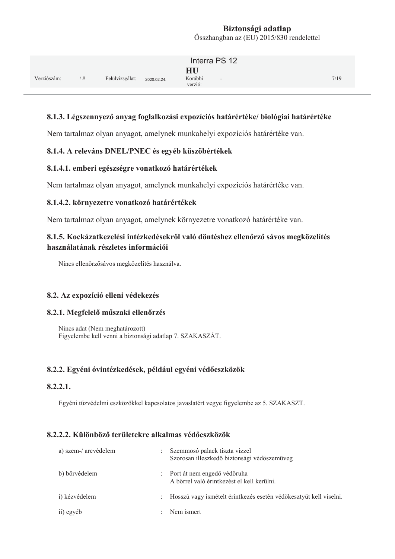|             |     |                 |             | Interra PS 12                  |      |
|-------------|-----|-----------------|-------------|--------------------------------|------|
| Verziószám: | 1.0 | Felülvizsgálat: | 2020.02.24. | HU<br>Korábbi<br>н.<br>verzió: | 7/19 |

#### 8.1.3. Légszennyező anyag foglalkozási expozíciós határértéke/ biológiai határértéke

Nem tartalmaz olyan anyagot, amelynek munkahelyi expozíciós határértéke van.

#### 8.1.4. A releváns DNEL/PNEC és egyéb küszöbértékek

#### 8.1.4.1. emberi egészségre vonatkozó határértékek

Nem tartalmaz olyan anyagot, amelynek munkahelyi expozíciós határértéke van.

#### 8.1.4.2. környezetre vonatkozó határértékek

Nem tartalmaz olyan anyagot, amelynek környezetre vonatkozó határértéke van.

#### 8.1.5. Kockázatkezelési intézkedésekről való döntéshez ellenőrző sávos megközelítés használatának részletes információi

Nincs ellenőrzősávos megközelítés használva.

#### 8.2. Az expozíció elleni védekezés

#### 8.2.1. Megfelelő műszaki ellenőrzés

Nincs adat (Nem meghatározott) Figyelembe kell venni a biztonsági adatlap 7. SZAKASZÁT.

#### 8.2.2. Egyéni óvintézkedések, például egyéni védőeszközök

#### $8.2.2.1.$

Egyéni tűzvédelmi eszközökkel kapcsolatos javaslatért vegye figyelembe az 5. SZAKASZT.

#### **8.2.2.2. Különböző területekre alkalmas védőeszközök**

| a) szem-/ arcvédelem |                           | Szemmosó palack tiszta vízzel<br>Szorosan illeszkedő biztonsági védőszemüveg |
|----------------------|---------------------------|------------------------------------------------------------------------------|
| b) bőrvédelem        |                           | : Port át nem engedő védőruha<br>A bőrrel való érintkezést el kell kerülni.  |
| i) kézvédelem        | $\mathbb{Z}^{\mathbb{Z}}$ | Hosszú vagy ismételt érintkezés esetén védőkesztyűt kell viselni.            |
| ii) egyéb            | $\ddot{\phantom{a}}$      | Nem ismert                                                                   |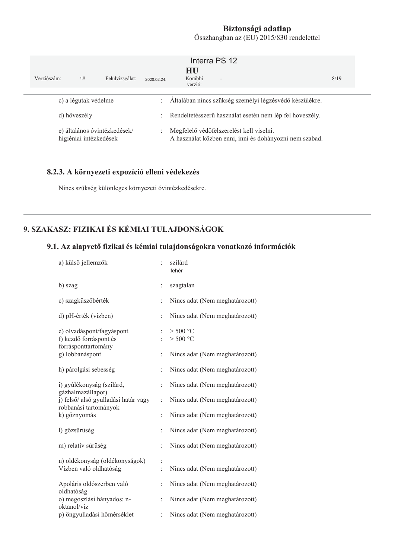| Verziószám:  | 1.0                    | Felülvizsgálat:              | 2020.02.24.                                                | Interra PS 12<br>HU<br>Korábbi<br>$\sim$<br>verzió:                                                 | 8/19 |
|--------------|------------------------|------------------------------|------------------------------------------------------------|-----------------------------------------------------------------------------------------------------|------|
|              | c) a légutak védelme   |                              | $\mathcal{L}$                                              | Általában nincs szükség személyi légzésvédő készülékre.                                             |      |
| d) hőveszély |                        |                              | : Rendeltetésszerű használat esetén nem lép fel hőveszély. |                                                                                                     |      |
|              | higiéniai intézkedések | e) általános óvintézkedések/ | $\mathbb{Z}^{\mathbb{Z}}$                                  | Megfelelő védőfelszerelést kell viselni.<br>A használat közben enni, inni és dohányozni nem szabad. |      |

#### 8.2.3. A környezeti expozíció elleni védekezés

Nincs szükség különleges környezeti óvintézkedésekre.

# 9. SZAKASZ: FIZIKAI ÉS KÉMIAI TULAJDONSÁGOK

### 9.1. Az alapvető fizikai és kémiai tulajdonságokra vonatkozó információk

| a) külső jellemzők                                                         |                | szilárd<br>fehér               |
|----------------------------------------------------------------------------|----------------|--------------------------------|
| b) szag                                                                    | $\vdots$       | szagtalan                      |
| c) szagküszöbérték                                                         | $\ddot{\cdot}$ | Nincs adat (Nem meghatározott) |
| d) pH-érték (vízben)                                                       | $\vdots$       | Nincs adat (Nem meghatározott) |
| e) olvadáspont/fagyáspont<br>f) kezdő forráspont és<br>forrásponttartomány | ÷              | $>$ 500 °C<br>$>$ 500 °C       |
| g) lobbanáspont                                                            | $\ddot{\cdot}$ | Nincs adat (Nem meghatározott) |
| h) párolgási sebesség                                                      | $\ddot{\cdot}$ | Nincs adat (Nem meghatározott) |
| i) gyúlékonyság (szilárd,                                                  | $\ddot{\cdot}$ | Nincs adat (Nem meghatározott) |
| gázhalmazállapot)<br>j) felső/ alsó gyulladási határ vagy                  | $\ddot{\cdot}$ | Nincs adat (Nem meghatározott) |
| robbanási tartományok<br>k) gőznyomás                                      | $\ddot{\cdot}$ | Nincs adat (Nem meghatározott) |
| l) gőzsűrűség                                                              | $\ddot{\cdot}$ | Nincs adat (Nem meghatározott) |
| m) relatív sűrűség                                                         | $\ddot{\cdot}$ | Nincs adat (Nem meghatározott) |
| n) oldékonyság (oldékonyságok)<br>Vízben való oldhatóság                   |                | Nincs adat (Nem meghatározott) |
| Apoláris oldószerben való                                                  | $\ddot{\cdot}$ | Nincs adat (Nem meghatározott) |
| oldhatóság<br>o) megoszlási hányados: n-<br>oktanol/víz                    | $\ddot{\cdot}$ | Nincs adat (Nem meghatározott) |
| p) öngyulladási hőmérséklet                                                | $\ddot{\cdot}$ | Nincs adat (Nem meghatározott) |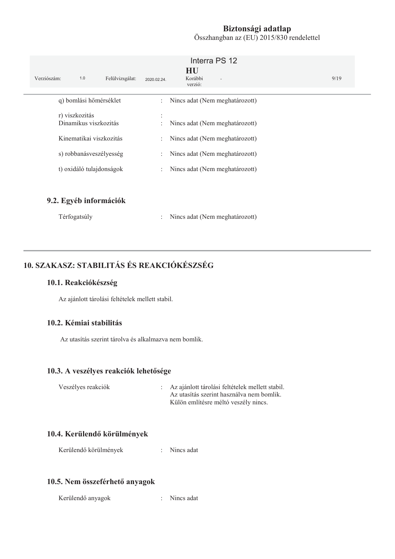| Verziószám:<br>1.0<br>Felülvizsgálat:                                                                                     | Interra PS 12<br>HU<br>Korábbi<br>2020.02.24.<br>$\sim$<br>verzió:                                                                                                                                                                                                                                                                                                                                                                                              | 9/19 |
|---------------------------------------------------------------------------------------------------------------------------|-----------------------------------------------------------------------------------------------------------------------------------------------------------------------------------------------------------------------------------------------------------------------------------------------------------------------------------------------------------------------------------------------------------------------------------------------------------------|------|
| q) bomlási hőmérséklet                                                                                                    | Nincs adat (Nem meghatározott)<br>$\mathcal{I}^{\mathcal{I}^{\mathcal{I}^{\mathcal{I}^{\mathcal{I}^{\mathcal{I}^{\mathcal{I}^{\mathcal{I}^{\mathcal{I}^{\mathcal{I}^{\mathcal{I}^{\mathcal{I}^{\mathcal{I}^{\mathcal{I}^{\mathcal{I}^{\mathcal{I}^{\mathcal{I}^{\mathcal{I}^{\mathcal{I}^{\mathcal{I}^{\mathcal{I}^{\mathcal{I}^{\mathcal{I}^{\mathcal{I}^{\mathcal{I}^{\mathcal{I}^{\mathcal{I}^{\mathcal{I}^{\mathcal{I}^{\mathcal{I}^{\mathcal{I}^{\mathcal$ |      |
| r) viszkozitás<br>Dinamikus viszkozitás<br>Kinematikai viszkozitás<br>s) robbanásveszélyesség<br>t) oxidáló tulajdonságok | Nincs adat (Nem meghatározott)<br>÷<br>Nincs adat (Nem meghatározott)<br>÷.<br>Nincs adat (Nem meghatározott)<br>÷<br>Nincs adat (Nem meghatározott)<br>÷                                                                                                                                                                                                                                                                                                       |      |
| 9.2. Egyéb információk                                                                                                    |                                                                                                                                                                                                                                                                                                                                                                                                                                                                 |      |

| Térfogatsúly |  | Nincs adat (Nem meghatározott) |
|--------------|--|--------------------------------|
|--------------|--|--------------------------------|

# 10. SZAKASZ: STABILITÁS ÉS REAKCIÓKÉSZSÉG

#### 10.1. Reakciókészség

Az ajánlott tárolási feltételek mellett stabil.

#### 10.2. Kémiai stabilitás

Az utasítás szerint tárolya és alkalmazya nem bomlik.

#### 10.3. A veszélyes reakciók lehetősége

| Veszélyes reakciók | : Az ajánlott tárolási feltételek mellett stabil. |
|--------------------|---------------------------------------------------|
|                    | Az utasítás szerint használya nem bomlik.         |
|                    | Külön említésre méltó veszély nincs.              |

### 10.4. Kerülendő körülmények

Kerülendő körülmények : Nincs adat

#### 10.5. Nem összeférhető anyagok

Kerülendő anyagok : Nincs adat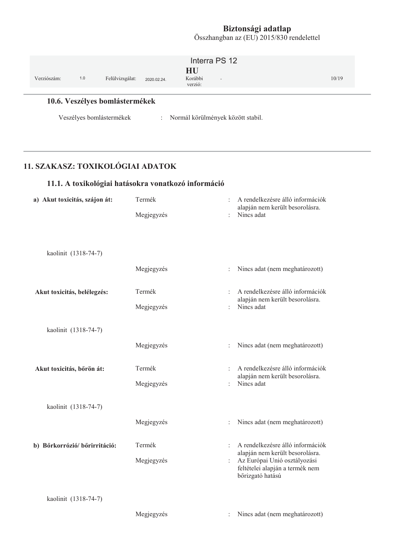| Verziószám: | 1.0 | Felülvizsgálat:                | 2020.02.24. | HU<br>Korábbi<br>verzió: | Interra PS 12<br>$\sim$             | 10/19 |  |
|-------------|-----|--------------------------------|-------------|--------------------------|-------------------------------------|-------|--|
|             |     | 10.6. Veszélyes bomlástermékek |             |                          |                                     |       |  |
|             |     | Veszélyes bomlástermékek       |             |                          | : Normál körülmények között stabil. |       |  |

# 11. SZAKASZ: TOXIKOLÓGIAI ADATOK

# 11.1. A toxikológiai hatásokra vonatkozó információ

| a) Akut toxicitás, szájon át: | Termék     |                      | A rendelkezésre álló információk<br>alapján nem került besorolásra. |
|-------------------------------|------------|----------------------|---------------------------------------------------------------------|
|                               | Megjegyzés |                      | Nincs adat                                                          |
|                               |            |                      |                                                                     |
|                               |            |                      |                                                                     |
| kaolinit (1318-74-7)          |            |                      |                                                                     |
|                               | Megjegyzés | $\ddot{\cdot}$       | Nincs adat (nem meghatározott)                                      |
| Akut toxicitás, belélegzés:   | Termék     |                      | A rendelkezésre álló információk                                    |
|                               | Megjegyzés | $\ddot{\cdot}$       | alapján nem került besorolásra.<br>Nincs adat                       |
| kaolinit (1318-74-7)          |            |                      |                                                                     |
|                               | Megjegyzés | $\ddot{\phantom{a}}$ | Nincs adat (nem meghatározott)                                      |
| Akut toxicitás, bőrön át:     | Termék     |                      | A rendelkezésre álló információk                                    |
|                               | Megjegyzés |                      | alapján nem került besorolásra.<br>Nincs adat                       |
| kaolinit (1318-74-7)          |            |                      |                                                                     |
|                               | Megjegyzés | $\ddot{\cdot}$       | Nincs adat (nem meghatározott)                                      |
| b) Bőrkorrózió/ bőrirritáció: | Termék     | $\ddot{\cdot}$       | A rendelkezésre álló információk                                    |
|                               | Megjegyzés |                      | alapján nem került besorolásra.<br>Az Európai Unió osztályozási     |
|                               |            |                      | feltételei alapján a termék nem<br>bőrizgató hatású                 |
| kaolinit (1318-74-7)          |            |                      |                                                                     |
|                               |            |                      |                                                                     |
|                               | Megjegyzés | :                    | Nincs adat (nem meghatározott)                                      |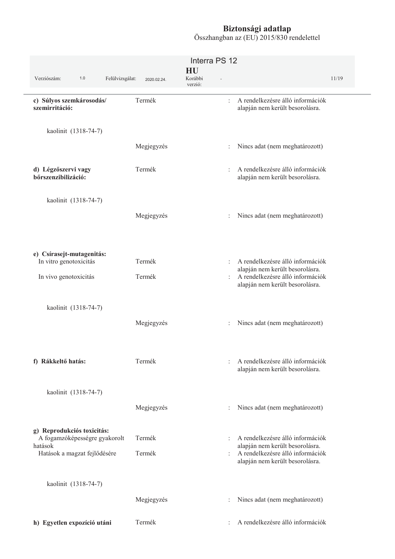|                                                             |             | Interra PS 12            |                                                                                                                                |       |
|-------------------------------------------------------------|-------------|--------------------------|--------------------------------------------------------------------------------------------------------------------------------|-------|
| Verziószám:<br>1.0<br>Felülvizsgálat:                       | 2020.02.24. | HU<br>Korábbi<br>verzió: |                                                                                                                                | 11/19 |
| c) Súlyos szemkárosodás/<br>szemirritáció:                  | Termék      |                          | A rendelkezésre álló információk<br>$\ddot{\phantom{a}}$<br>alapján nem került besorolásra.                                    |       |
| kaolinit (1318-74-7)                                        |             |                          |                                                                                                                                |       |
|                                                             | Megjegyzés  |                          | Nincs adat (nem meghatározott)                                                                                                 |       |
| d) Légzőszervi vagy<br>bőrszenzibilizáció:                  | Termék      |                          | A rendelkezésre álló információk<br>$\ddot{\cdot}$<br>alapján nem került besorolásra.                                          |       |
| kaolinit (1318-74-7)                                        |             |                          |                                                                                                                                |       |
|                                                             | Megjegyzés  |                          | Nincs adat (nem meghatározott)<br>$\ddot{\cdot}$                                                                               |       |
| e) Csírasejt-mutagenitás:<br>In vitro genotoxicitás         | Termék      |                          | A rendelkezésre álló információk<br>÷<br>alapján nem került besorolásra.                                                       |       |
| In vivo genotoxicitás                                       | Termék      |                          | A rendelkezésre álló információk<br>÷<br>alapján nem került besorolásra.                                                       |       |
| kaolinit (1318-74-7)                                        |             |                          |                                                                                                                                |       |
|                                                             | Megjegyzés  |                          | Nincs adat (nem meghatározott)                                                                                                 |       |
| f) Rákkeltő hatás:                                          | Termék      |                          | A rendelkezésre álló információk<br>$\ddot{\phantom{a}}$<br>alapján nem került besorolásra.                                    |       |
| kaolinit (1318-74-7)                                        |             |                          |                                                                                                                                |       |
|                                                             | Megjegyzés  |                          | Nincs adat (nem meghatározott)                                                                                                 |       |
| g) Reprodukciós toxicitás:<br>A fogamzóképességre gyakorolt | Termék      |                          | A rendelkezésre álló információk<br>$\ddot{\phantom{a}}$                                                                       |       |
| hatások<br>Hatások a magzat fejlődésére                     | Termék      |                          | alapján nem került besorolásra.<br>A rendelkezésre álló információk<br>$\ddot{\phantom{a}}$<br>alapján nem került besorolásra. |       |
| kaolinit (1318-74-7)                                        |             |                          |                                                                                                                                |       |
|                                                             | Megjegyzés  |                          | Nincs adat (nem meghatározott)                                                                                                 |       |
| h) Egyetlen expozíció utáni                                 | Termék      |                          | A rendelkezésre álló információk                                                                                               |       |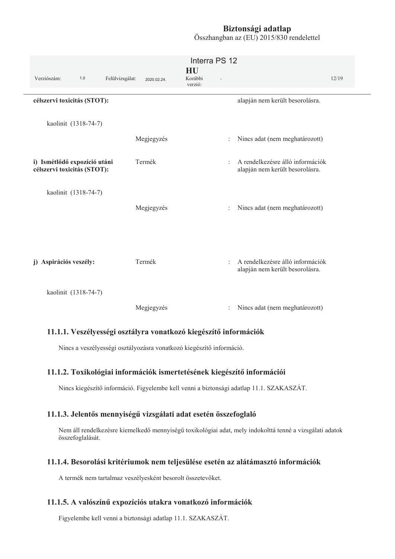Összhangban az (EU) 2015/830 rendelettel

|                                                             |             | Interra PS 12            |                                                                     |       |
|-------------------------------------------------------------|-------------|--------------------------|---------------------------------------------------------------------|-------|
| Verziószám:<br>1.0<br>Felülvizsgálat:                       | 2020.02.24. | HU<br>Korábbi<br>verzió: |                                                                     | 12/19 |
| célszervi toxicitás (STOT):                                 |             |                          | alapján nem került besorolásra.                                     |       |
| kaolinit (1318-74-7)                                        |             |                          |                                                                     |       |
|                                                             | Megjegyzés  | $\ddot{\cdot}$           | Nincs adat (nem meghatározott)                                      |       |
| i) Ismétlődő expozíció utáni<br>célszervi toxicitás (STOT): | Termék      | $\ddot{\phantom{0}}$     | A rendelkezésre álló információk<br>alapján nem került besorolásra. |       |
| kaolinit (1318-74-7)                                        | Megjegyzés  | $\ddot{\phantom{a}}$     | Nincs adat (nem meghatározott)                                      |       |
| j) Aspirációs veszély:                                      | Termék      | ÷                        | A rendelkezésre álló információk<br>alapján nem került besorolásra. |       |
| kaolinit (1318-74-7)                                        |             |                          |                                                                     |       |
|                                                             | Megjegyzés  | $\ddot{\cdot}$           | Nincs adat (nem meghatározott)                                      |       |

#### 11.1.1. Veszélyességi osztályra vonatkozó kiegészítő információk

Nincs a veszélyességi osztályozásra vonatkozó kiegészítő információ.

#### 11.1.2. Toxikológiai információk ismertetésének kiegészítő információi

Nincs kiegészítő információ. Figyelembe kell venni a biztonsági adatlap 11.1. SZAKASZÁT.

#### 11.1.3. Jelentős mennyiségű vizsgálati adat esetén összefoglaló

Nem áll rendelkezésre kiemelkedő mennyiségű toxikológiai adat, mely indokolttá tenné a vizsgálati adatok összefoglalását.

#### 11.1.4. Besorolási kritériumok nem teljesülése esetén az alátámasztó információk

A termék nem tartalmaz veszélyesként besorolt összetevőket.

#### 11.1.5. A valószínű expozíciós utakra vonatkozó információk

Figyelembe kell venni a biztonsági adatlap 11.1. SZAKASZÁT.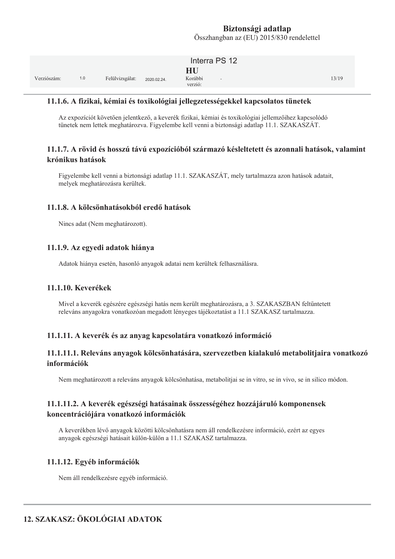|             |     |                 |             | Interra PS 12                                        |       |
|-------------|-----|-----------------|-------------|------------------------------------------------------|-------|
| Verziószám: | 1.0 | Felülvizsgálat: | 2020.02.24. | HU<br>Korábbi<br>$\overline{\phantom{a}}$<br>verzió: | 13/19 |

#### 11.1.6. A fizikai, kémiai és toxikológiai jellegzetességekkel kapcsolatos tünetek

Az expozíciót követően jelentkező, a keverék fizikai, kémiai és toxikológiai jellemzőihez kapcsolódó tünetek nem lettek meghatározva. Figyelembe kell venni a biztonsági adatlap 11.1. SZAKASZÁT.

#### 11.1.7. A rövid és hosszú távú expozícióból származó késleltetett és azonnali hatások, valamint krónikus hatások

Figyelembe kell venni a biztonsági adatlap 11.1. SZAKASZÁT, mely tartalmazza azon hatások adatait, melyek meghatározásra kerültek.

#### 11.1.8. A kölcsönhatásokból eredő hatások

Nincs adat (Nem meghatározott).

#### 11.1.9. Az egyedi adatok hiánya

Adatok hiánya esetén, hasonló anyagok adatai nem kerültek felhasználásra.

#### 11.1.10. Keverékek

Mivel a keverék egészére egészségi hatás nem került meghatározásra, a 3. SZAKASZBAN feltűntetett releváns anyagokra vonatkozóan megadott lényeges tájékoztatást a 11.1 SZAKASZ tartalmazza.

#### 11.1.11. A keverék és az anyag kapcsolatára vonatkozó információ

#### 11.1.11.1. Releváns anyagok kölcsönhatására, szervezetben kialakuló metabolitjaira vonatkozó információk

Nem meghatározott a releváns anyagok kölcsönhatása, metabolitjai se in vitro, se in vivo, se in silico módon.

#### 11.1.11.2. A keverék egészségi hatásainak összességéhez hozzájáruló komponensek koncentrációjára vonatkozó információk

A keverékben lévő anyagok közötti kölcsönhatásra nem áll rendelkezésre információ, ezért az egyes anyagok egészségi hatásait külön-külön a 11.1 SZAKASZ tartalmazza.

#### 11.1.12. Egyéb információk

Nem áll rendelkezésre egyéb információ.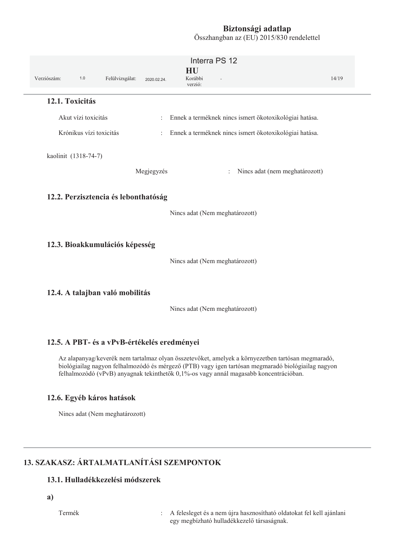Összhangban az (EU) 2015/830 rendelettel

|                      |                         |                                      |                           | Interra PS 12                                                                       |       |
|----------------------|-------------------------|--------------------------------------|---------------------------|-------------------------------------------------------------------------------------|-------|
| Verziószám:          | $1.0$                   | Felülvizsgálat:                      | 2020.02.24.               | HU<br>Korábbi<br>verzió:                                                            | 14/19 |
| 12.1. Toxicitás      |                         |                                      |                           |                                                                                     |       |
|                      | Akut vízi toxicitás     |                                      | ÷.                        | Ennek a terméknek nincs ismert ökotoxikológiai hatása.                              |       |
|                      | Krónikus vízi toxicitás |                                      | $\mathbb{R}^{\mathbb{Z}}$ | Ennek a terméknek nincs ismert ökotoxikológiai hatása.                              |       |
| kaolinit (1318-74-7) |                         |                                      | Megjegyzés                | Nincs adat (nem meghatározott)<br>$\ddot{\cdot}$                                    |       |
|                      |                         | 12.2. Perzisztencia és lebonthatóság |                           | Nincs adat (Nem meghatározott)                                                      |       |
|                      |                         | 12.3. Bioakkumulációs képesség       |                           | Nincs adat (Nem meghatározott)                                                      |       |
|                      |                         | 12.4. A talajban való mobilitás      |                           | $\mathbf{A}$<br>$\mathbf{1}$ $\mathbf{1}$ $\mathbf{1}$<br>$\mathbf{1}$ $\mathbf{1}$ |       |

Nincs adat (Nem meghatározott)

#### 12.5. A PBT- és a vPvB-értékelés eredményei

Az alapanyag/keverék nem tartalmaz olyan összetevőket, amelyek a környezetben tartósan megmaradó, biológiailag nagyon felhalmozódó és mérgező (PTB) vagy igen tartósan megmaradó biológiailag nagyon felhalmozódó (vPvB) anyagnak tekinthetők 0,1%-os vagy annál magasabb koncentrációban.

#### 12.6. Egyéb káros hatások

Nincs adat (Nem meghatározott)

# 13. SZAKASZ: ÁRTALMATLANÍTÁSI SZEMPONTOK

### 13.1. Hulladékkezelési módszerek

a)

Termék

: A felesleget és a nem újra hasznosítható oldatokat fel kell ajánlani egy megbízható hulladékkezelő társaságnak.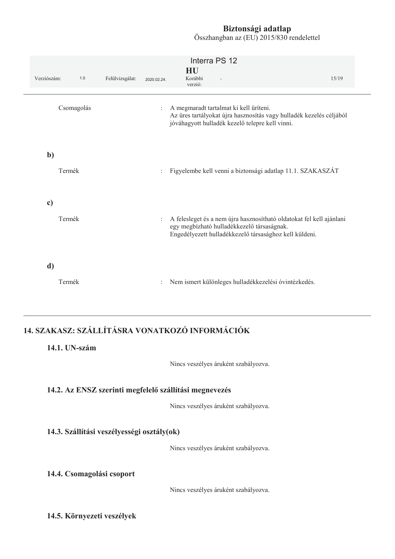Összhangban az (EU) 2015/830 rendelettel

| Verziószám:  | $1.0$      | Felülvizsgálat: | 2020.02.24. | HU<br>Korábbi<br>verzió: | Interra PS 12                                                                             | 15/19                                                                                                                          |
|--------------|------------|-----------------|-------------|--------------------------|-------------------------------------------------------------------------------------------|--------------------------------------------------------------------------------------------------------------------------------|
|              | Csomagolás |                 |             |                          | A megmaradt tartalmat ki kell üríteni.<br>jóváhagyott hulladék kezelő telepre kell vinni. | Az üres tartályokat újra hasznosítás vagy hulladék kezelés céljából                                                            |
| $\mathbf{b}$ | Termék     |                 |             |                          |                                                                                           | Figyelembe kell venni a biztonsági adatlap 11.1. SZAKASZÁT                                                                     |
| c)           | Termék     |                 |             |                          | egy megbízható hulladékkezelő társaságnak.                                                | A felesleget és a nem újra hasznosítható oldatokat fel kell ajánlani<br>Engedélyezett hulladékkezelő társasághoz kell küldeni. |
| d)           | Termék     |                 |             |                          |                                                                                           | Nem ismert különleges hulladékkezelési óvintézkedés.                                                                           |
|              |            |                 |             |                          |                                                                                           |                                                                                                                                |

# 14. SZAKASZ: SZÁLLÍTÁSRA VONATKOZÓ INFORMÁCIÓK

### 14.1. UN-szám

Nincs veszélyes áruként szabályozva.

#### 14.2. Az ENSZ szerinti megfelelő szállítási megnevezés

Nincs veszélyes áruként szabályozva.

#### 14.3. Szállítási veszélyességi osztály(ok)

Nincs veszélyes áruként szabályozva.

#### 14.4. Csomagolási csoport

Nincs veszélyes áruként szabályozva.

### 14.5. Környezeti veszélyek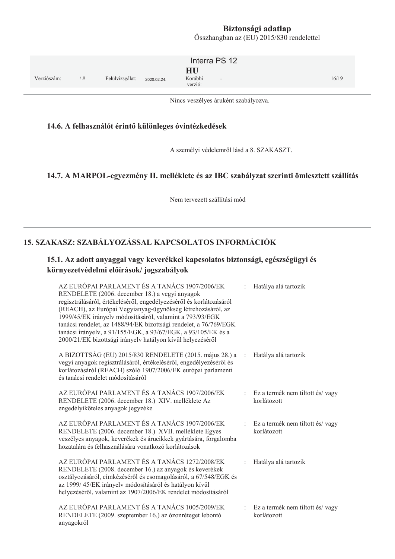$Osszhangban az (EU) 2015/830 rendelettel$ 

|                    |                                | Interra PS 12                      |       |
|--------------------|--------------------------------|------------------------------------|-------|
| Verziószám:<br>1.0 | Felülvizsgálat:<br>2020.02.24. | HU<br>Korábbi<br>$\sim$<br>verzió: | 16/19 |

Nincs veszélyes áruként szabályozva.

#### 14.6. A felhasználót érintő különleges óvintézkedések

A személyi védelemről lásd a 8. SZAKASZT.

#### 14.7. A MARPOL-egyezmény II. melléklete és az IBC szabályzat szerinti ömlesztett szállítás

Nem tervezett szállítási mód

## 15. SZAKASZ: SZABÁLYOZÁSSAL KAPCSOLATOS INFORMÁCIÓK

## 15.1. Az adott anyaggal vagy keverékkel kapcsolatos biztonsági, egészségügyi és környezetvédelmi előírások/jogszabályok

| AZ EURÓPAI PARLAMENT ÉS A TANÁCS 1907/2006/EK<br>RENDELETE (2006. december 18.) a vegyi anyagok<br>regisztrálásáról, értékeléséről, engedélyezéséről és korlátozásáról<br>(REACH), az Európai Vegyianyag-ügynökség létrehozásáról, az<br>1999/45/EK irányelv módosításáról, valamint a 793/93/EGK<br>tanácsi rendelet, az 1488/94/EK bizottsági rendelet, a 76/769/EGK<br>tanácsi irányelv, a 91/155/EGK, a 93/67/EGK, a 93/105/EK és a<br>2000/21/EK bizottsági irányelv hatályon kívül helyezéséről |                      | Hatálya alá tartozik                           |
|-------------------------------------------------------------------------------------------------------------------------------------------------------------------------------------------------------------------------------------------------------------------------------------------------------------------------------------------------------------------------------------------------------------------------------------------------------------------------------------------------------|----------------------|------------------------------------------------|
| A BIZOTTSÁG (EU) 2015/830 RENDELETE (2015. május 28.) a<br>vegyi anyagok regisztrálásáról, értékeléséről, engedélyezéséről és<br>korlátozásáról (REACH) szóló 1907/2006/EK európai parlamenti<br>és tanácsi rendelet módosításáról                                                                                                                                                                                                                                                                    | $\ddot{\phantom{a}}$ | Hatálya alá tartozik                           |
| AZ EURÓPAI PARLAMENT ÉS A TANÁCS 1907/2006/EK<br>RENDELETE (2006. december 18.) XIV. melléklete Az<br>engedélyíköteles anyagok jegyzéke                                                                                                                                                                                                                                                                                                                                                               | ÷.                   | Ez a termék nem tiltott és/vagy<br>korlátozott |
| AZ EURÓPAI PARLAMENT ÉS A TANÁCS 1907/2006/EK<br>RENDELETE (2006. december 18.) XVII. melléklete Egyes<br>veszélyes anyagok, keverékek és árucikkek gyártására, forgalomba<br>hozatalára és felhasználására vonatkozó korlátozások                                                                                                                                                                                                                                                                    | ÷                    | Ez a termék nem tiltott és/vagy<br>korlátozott |
| AZ EURÓPAI PARLAMENT ÉS A TANÁCS 1272/2008/EK<br>RENDELETE (2008. december 16.) az anyagok és keverékek<br>osztályozásáról, címkézéséről és csomagolásáról, a 67/548/EGK és<br>az 1999/45/EK irányelv módosításáról és hatályon kívül<br>helyezéséről, valamint az 1907/2006/EK rendelet módosításáról                                                                                                                                                                                                |                      | Hatálya alá tartozik                           |
| AZ EURÓPAI PARLAMENT ÉS A TANÁCS 1005/2009/EK<br>RENDELETE (2009. szeptember 16.) az ózonréteget lebontó<br>anyagokról                                                                                                                                                                                                                                                                                                                                                                                | $\mathbf{r}$         | Ez a termék nem tiltott és/vagy<br>korlátozott |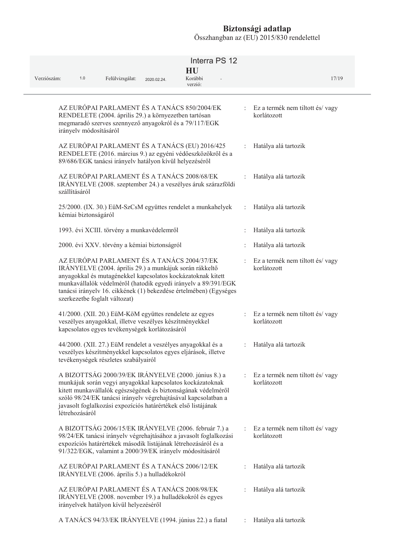| Verziószám:<br>1.0            | Felülvizsgálat:                                                                                                                                                      | 2020.02.24. | Interra PS 12<br>HU<br>Korábbi<br>verzió:                                                                                                                                                                                                            |                      | 17/19                                            |
|-------------------------------|----------------------------------------------------------------------------------------------------------------------------------------------------------------------|-------------|------------------------------------------------------------------------------------------------------------------------------------------------------------------------------------------------------------------------------------------------------|----------------------|--------------------------------------------------|
| irányelv módosításáról        | AZ EURÓPAI PARLAMENT ÉS A TANÁCS 850/2004/EK<br>RENDELETE (2004. április 29.) a környezetben tartósan<br>megmaradó szerves szennyező anyagokról és a 79/117/EGK      |             |                                                                                                                                                                                                                                                      | t.                   | Ez a termék nem tiltott és/vagy<br>korlátozott   |
|                               | 89/686/EGK tanácsi irányelv hatályon kívül helyezéséről                                                                                                              |             | AZ EURÓPAI PARLAMENT ÉS A TANÁCS (EU) 2016/425<br>RENDELETE (2016. március 9.) az egyéni védőeszközökről és a                                                                                                                                        |                      | Hatálya alá tartozik                             |
| szállításáról                 | AZ EURÓPAI PARLAMENT ÉS A TANÁCS 2008/68/EK                                                                                                                          |             | IRÁNYELVE (2008. szeptember 24.) a veszélyes áruk szárazföldi                                                                                                                                                                                        |                      | Hatálya alá tartozik                             |
| kémiai biztonságáról          |                                                                                                                                                                      |             | 25/2000. (IX. 30.) EüM-SzCsM együttes rendelet a munkahelyek                                                                                                                                                                                         | $\ddot{\phantom{a}}$ | Hatálya alá tartozik                             |
|                               | 1993. évi XCIII. törvény a munkavédelemről                                                                                                                           |             |                                                                                                                                                                                                                                                      |                      | Hatálya alá tartozik                             |
|                               | 2000. évi XXV. törvény a kémiai biztonságról                                                                                                                         |             |                                                                                                                                                                                                                                                      |                      | Hatálya alá tartozik                             |
| szerkezetbe foglalt változat) | AZ EURÓPAI PARLAMENT ÉS A TANÁCS 2004/37/EK<br>IRÁNYELVE (2004. április 29.) a munkájuk során rákkeltő                                                               |             | anyagokkal és mutagénekkel kapcsolatos kockázatoknak kitett<br>munkavállalók védelméről (hatodik egyedi irányelv a 89/391/EGK<br>tanácsi irányelv 16. cikkének (1) bekezdése értelmében) (Egységes                                                   |                      | Ez a termék nem tiltott és/vagy<br>korlátozott   |
|                               | 41/2000. (XII. 20.) EüM-KöM együttes rendelete az egyes<br>veszélyes anyagokkal, illetve veszélyes készítményekkel<br>kapcsolatos egyes tevékenységek korlátozásáról |             |                                                                                                                                                                                                                                                      |                      | : Ez a termék nem tiltott és/vagy<br>korlátozott |
|                               | tevékenységek részletes szabályairól                                                                                                                                 |             | 44/2000. (XII. 27.) EüM rendelet a veszélyes anyagokkal és a<br>veszélyes készítményekkel kapcsolatos egyes eljárások, illetve                                                                                                                       | $\ddot{\phantom{a}}$ | Hatálya alá tartozik                             |
| létrehozásáról                | javasolt foglalkozási expozíciós határértékek első listájának                                                                                                        |             | A BIZOTTSÁG 2000/39/EK IRÁNYELVE (2000. június 8.) a<br>munkájuk során vegyi anyagokkal kapcsolatos kockázatoknak<br>kitett munkavállalók egészségének és biztonságának védelméről<br>szóló 98/24/EK tanácsi irányelv végrehajtásával kapcsolatban a | t.                   | Ez a termék nem tiltott és/vagy<br>korlátozott   |
|                               | 91/322/EGK, valamint a 2000/39/EK irányelv módosításáról                                                                                                             |             | A BIZOTTSÁG 2006/15/EK IRÁNYELVE (2006. február 7.) a<br>98/24/EK tanácsi irányelv végrehajtásához a javasolt foglalkozási<br>expozíciós határértékek második listájának létrehozásáról és a                                                         |                      | Ez a termék nem tiltott és/vagy<br>korlátozott   |
|                               | AZ EURÓPAI PARLAMENT ÉS A TANÁCS 2006/12/EK<br>IRÁNYELVE (2006. április 5.) a hulladékokról                                                                          |             |                                                                                                                                                                                                                                                      |                      | Hatálya alá tartozik                             |
|                               | AZ EURÓPAI PARLAMENT ÉS A TANÁCS 2008/98/EK<br>irányelvek hatályon kívül helyezéséről                                                                                |             | IRÁNYELVE (2008. november 19.) a hulladékokról és egyes                                                                                                                                                                                              |                      | Hatálya alá tartozik                             |
|                               |                                                                                                                                                                      |             | A TANÁCS 94/33/EK IRÁNYELVE (1994. június 22.) a fiatal                                                                                                                                                                                              |                      | Hatálya alá tartozik                             |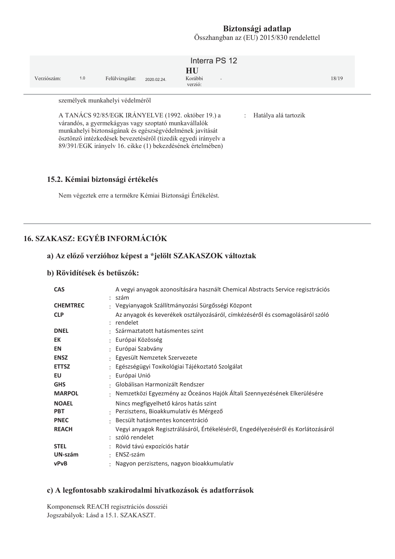Összhangban az (EU) 2015/830 rendelettel

| Verziószám:                                                                                                                                                                                                                                                                                                                                                                         | 1.0 | Felülvizsgálat: | 2020.02.24 | Interra PS 12<br>HU<br>Korábbi<br>$\overline{a}$<br>verzió: |  | 18/19 |
|-------------------------------------------------------------------------------------------------------------------------------------------------------------------------------------------------------------------------------------------------------------------------------------------------------------------------------------------------------------------------------------|-----|-----------------|------------|-------------------------------------------------------------|--|-------|
| személyek munkahelyi védelméről<br>A TANÁCS 92/85/EGK IRÁNYELVE (1992. október 19.) a<br>Hatálya alá tartozik<br>$\mathbb{R}^n$<br>várandós, a gyermekágyas vagy szoptató munkavállalók<br>munkahelyi biztonságának és egészségvédelmének javítását<br>ösztönző intézkedések bevezetéséről (tizedik egyedi irányelv a<br>89/391/EGK irányelv 16. cikke (1) bekezdésének értelmében) |     |                 |            |                                                             |  |       |

#### 15.2. Kémiai biztonsági értékelés

Nem végeztek erre a termékre Kémiai Biztonsági Értékelést.

# **16. SZAKASZ: EGYÉB INFORMÁCIÓK**

#### a) Az előző verzióhoz képest a \*jelölt SZAKASZOK változtak

#### b) Rövidítések és betűszók:

| <b>CAS</b>      | A vegyi anyagok azonosítására használt Chemical Abstracts Service regisztrációs<br>: szám             |
|-----------------|-------------------------------------------------------------------------------------------------------|
| <b>CHEMTREC</b> | : Vegyianyagok Szállítmányozási Sürgősségi Központ                                                    |
| <b>CLP</b>      | Az anyagok és keverékek osztályozásáról, címkézéséről és csomagolásáról szóló<br>: rendelet           |
| <b>DNEL</b>     | : Származtatott hatásmentes szint                                                                     |
| EK              | : Európai Közösség                                                                                    |
| <b>EN</b>       | : Európai Szabvány                                                                                    |
| <b>ENSZ</b>     | : Egyesült Nemzetek Szervezete                                                                        |
| <b>ETTSZ</b>    | : Egészségügyi Toxikológiai Tájékoztató Szolgálat                                                     |
| EU              | : Európai Unió                                                                                        |
| <b>GHS</b>      | · Globálisan Harmonizált Rendszer                                                                     |
| <b>MARPOL</b>   | : Nemzetközi Egyezmény az Óceános Hajók Általi Szennyezésének Elkerülésére                            |
| <b>NOAEL</b>    | Nincs megfigyelhető káros hatás szint                                                                 |
| <b>PBT</b>      | : Perzisztens, Bioakkumulatív és Mérgező                                                              |
| <b>PNEC</b>     | · Becsült hatásmentes koncentráció                                                                    |
| <b>REACH</b>    | Vegyi anyagok Regisztrálásáról, Értékeléséről, Engedélyezéséről és Korlátozásáról<br>: szóló rendelet |
| <b>STEL</b>     | : Rövid távú expozíciós határ                                                                         |
| UN-szám         | $\cdot$ ENSZ-szám                                                                                     |
| <b>vPvB</b>     | : Nagyon perzisztens, nagyon bioakkumulatív                                                           |

#### c) A legfontosabb szakirodalmi hivatkozások és adatforrások

Komponensek REACH regisztrációs dossziéi Jogszabályok: Lásd a 15.1. SZAKASZT.